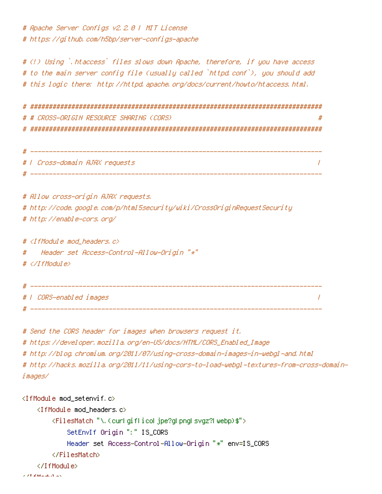# Apache Server Configs v2.2.0 | MIT License # https://github.com/h5bp/server-configs-apache

# (!) Using `.htaccess` files slows down Apache, therefore, if you have access # to the main server config file (usually called `httpd.conf`), you should add # this logic there; http://httpd.apache.org/docs/current/houto/htaccess.html.

# # CROSS-ORIGIN RESOURCE SHARING (CORS)  $\boldsymbol{H}$ 

| # |                                |  |
|---|--------------------------------|--|
|   | #   Cross-domain AJAX requests |  |
|   |                                |  |

# Allow cross-origin AJAX requests. # http://code.google.com/p/html5security/wiki/CrossOriginRequestSecurity # http://enable-cors.org/

#  $\langle$ IfModule mod headers,  $c$ >

Header set Access-Control-Allow-Origin "\*"  $\boldsymbol{\#}$ 

# </TfModule>

\_\_\_\_\_\_\_\_\_\_\_ # 1 CORS-enabled images  $\overline{I}$  $- - - - - - - - -$ 

# Send the CORS header for images when browsers request it.

# https://developer.mozilla.org/en-US/docs/HTML/CORS\_Enabled\_Image

# http://blog.chromium.org/2011/07/using-cross-domain-images-in-webgl-and.html

# http://hacks.mozilla.org/2011/11/using-cors-to-load-webgl-textures-from-cross-domainimages/

```
<IfModule mod setenvif.c>
    <IfModule mod headers.c>
        <FilesMatch "\.(curlgiflicoljpe?glpnglsvqz?lwebp)$">
            SetEnvIf Origin ":" IS_CORS
            Header set Access-Control-Allow-Origin "*" env=IS_CORS
        </FilesMatch>
    </IfModule>
```
a amarka Luang Lo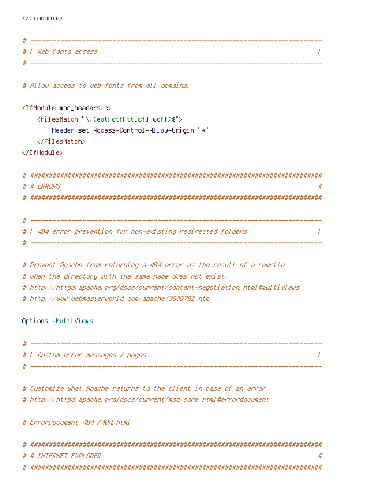| * | ___                  |
|---|----------------------|
|   | #   Web fonts access |
|   |                      |

# Allow access to web fonts from all domains.

```
<IfModule mod_headers.c>
    <FilesMatch "\.(eotLotfLttEcfILwoff)$">
        Header set Access-Control-Allow-Origin "*"
    </FilesMatch>
</IfModule>
```

```
# # ERRORS
     #
```

```
#
 _____________________
# 1 404 error prevention for non-existing redirected folders.
                                                                                         \prime
```

```
# Prevent Apache from returning a 404 error as the result of a rewrite
# when the directory with the same name does not exist.
# http://httpd.apache.org/docs/current/content-negotiation.html#multiviews
# http://www.webmasterworld.com/apache/3808792.htm
```
Options -MultiViews

| # |                                   |  |
|---|-----------------------------------|--|
|   | #   Custom error messages / pages |  |
|   |                                   |  |

# Customize what Apache returns to the client in case of an error. # http://httpd.apache.org/docs/current/mod/core.html#errordocument

# ErrorDocument 404 /404.html

| # # INTERNET EXPLORER |  |
|-----------------------|--|
|                       |  |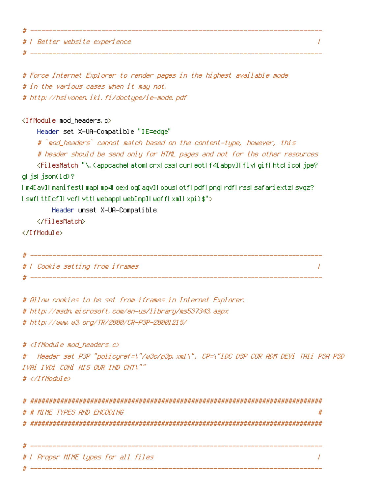# | Better website experience

# Force Internet Explorer to render pages in the highest available mode # in the various cases when it may not. # http://hsivonen.iki.fi/doctype/ie-mode.pdf <IfModule mod\_headers.c> Header set X-UA-Compatible "IE=edge" # `mod\_headers` cannot match based on the content-type, however, this # header should be send only for HTML pages and not for the other resources <FilesMatch "\.(appcacheLatomLcrxLcssLcurLeotLf4Eabpv]LflvLgifLhtcLicoLjpe? glijslijson(1d)? Im4EavIImanifestImapLmp4LoexLogEagvILopusLotfLpdfLpngLrdfLrssLsafariextzLsvgz? IswflttEcfIlvcflvttLwebappLwebEmpILwoffLxmILxpi)\$"> Header unset X-UA-Compatible </FilesMatch> </IfModule> # | Cookie setting from iframes  $\prime$ 

 $\sqrt{ }$ 

# Allow cookies to be set from iframes in Internet Explorer. # http://msdn.microsoft.com/en-us/library/ms537343.aspx # http://www.w3.org/TR/2000/CR-P3P-20001215/

# <IfModule mod\_headers, c> Header set P3P "policyref=\"/w3c/p3p.xml\", CP=\"IDC DSP COR ADM DEVi TAIi PSA PSD # IVAI IVDI CONI HIS OUR IND CNT\""  $# \triangle$ /IfModule>

| # # MIME TYPES AND ENCODING         |
|-------------------------------------|
|                                     |
|                                     |
|                                     |
| #   Proper MIME types for all files |
|                                     |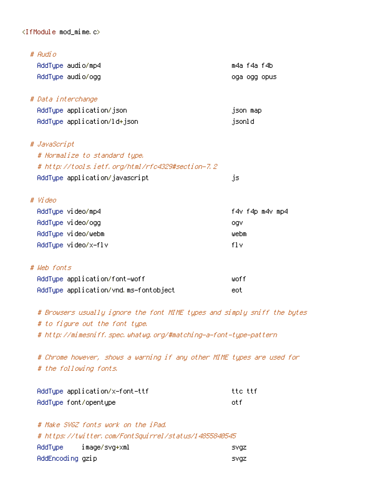## $\langle$ IfModule mod\_mime.c>

| # Audio                                          |                 |
|--------------------------------------------------|-----------------|
| AddType audio/mp4                                | m4a f4a f4b     |
| AddType audio/ogg                                | oga ogg opus    |
| # Data interchange                               |                 |
| AddType application/json                         | json map        |
| AddType application/ld+json                      | jsonld          |
| # JavaScript                                     |                 |
| # Normalize to standard type.                    |                 |
| # http://tools.ietf.org/html/rfc4329#section-7.2 |                 |
| AddType application/javascript                   | js              |
| # Video                                          |                 |
| AddType video/mp4                                | f4v f4p m4v mp4 |
| AddType video/ogg                                | ogv             |
| AddType video/webm                               | webm            |
| AddTupe video/x-flv                              | f1v             |
| # Web fonts                                      |                 |
| AddType application/font-woff                    | woff            |
| AddType application/vnd.ms-fontobject            | eot             |
|                                                  |                 |

# Browsers usually ignore the font MIME types and simply sniff the bytes # to figure out the font type. # http://mimesniff.spec.whatwg.org/#matching-a-font-type-pattern

# Chrome however, shows a warning if any other MIME types are used for # the following fonts.

**SVgz** 

| AddType application/x-font-ttf | tte ttf |
|--------------------------------|---------|
| AddType font/opentype          | int f   |

| AddType | image/svq+xml                                         |  |  |  |  | svqz |
|---------|-------------------------------------------------------|--|--|--|--|------|
|         | # https://twitter.com/FontSquirrel/status/14855840545 |  |  |  |  |      |
|         | # Make SVGZ fonts work on the iPad.                   |  |  |  |  |      |

AddEncoding gzip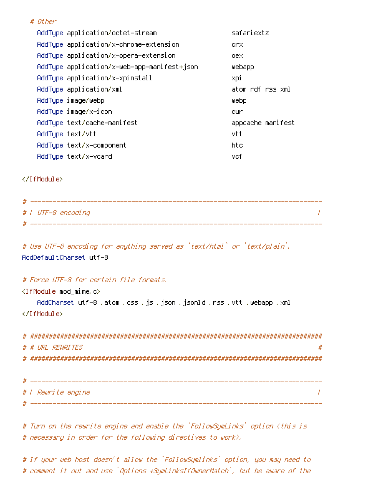|  | AddTupe application/octet-stream            | safariextz        |  |
|--|---------------------------------------------|-------------------|--|
|  | AddType application/x-chrome-extension      | crx.              |  |
|  | AddTupe application/x-opera-extension       | oex.              |  |
|  | AddType application/x-web-app-manifest+json | webapp            |  |
|  | AddType application/x-xpinstall             | xpi               |  |
|  | AddType application/xml                     | atom rdf rss xml  |  |
|  | AddType image/webp                          | Webp              |  |
|  | AddType image/x-icon                        | cur.              |  |
|  | AddType text/cache-manifest                 | appcache manifest |  |
|  | AddTupe text/vtt                            | vtt               |  |
|  | AddTupe text/x-component                    | htc               |  |
|  | AddTupe text/x-vcard                        | vcf               |  |

</IfModule>

# Other

| -# |                    |
|----|--------------------|
|    | #   UTF-8 encoding |
| #  |                    |

```
# Use UTF-8 encoding for anything served as `text/html` or `text/plain`.
AddDefaultCharset utf-8
```
## # Force UTF-8 for certain file formats,

<IfModule mod\_mime.c>

```
AddCharset utf-8 .atom .css .js .json .jsonld .rss .vtt .webapp .xml
</IfModule>
```

| # # URL REWRITES | # |
|------------------|---|
|                  |   |
|                  |   |

| # |                           |
|---|---------------------------|
|   | # <i>I Rewrite engine</i> |
|   |                           |

# Turn on the rewrite engine and enable the `FollowSymLinks` option (this is # necessary in order for the following directives to work).

# If your web host doesn't allow the `FollowSymlinks` option, you may need to # comment it out and use `Options +SymLinksIfOwnerMatch`, but be aware of the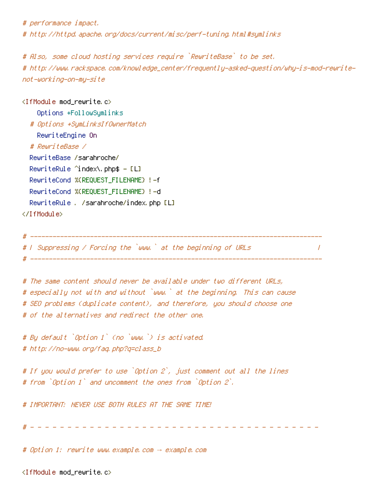# performance impact.

# http://httpd.apache.org/docs/current/misc/perf-tuning.html#symlinks

# Also, some cloud hosting services require `RewriteBase` to be set. # http://www.rackspace.com/knowledge\_center/frequently-asked-question/why-is-mod-rewritenot-working-on-my-site

<IfModule mod\_rewrite.c> Options +FollowSymlinks # Options +SymLinksIfOwnerMatch RewriteEngine On # RewriteBase / RewriteBase /sarahroche/ RewriteRule  $\hat{}$  index\, php\$ - [L] RewriteCond %(REQUEST\_FILENAME) !- f RewriteCond %(REQUEST\_FILENAME) !-d RewriteRule . /sarahroche/index.php [L] </IfModule>

# F Suppressing / Forcing the `www.` at the beginning of URLs

 $\prime$ 

# The same content should never be available under two different URLs, # especially not with and without `www.` at the beginning. This can cause # SEO problems (duplicate content), and therefore, you should choose one # of the alternatives and redirect the other one.

# By default `Option 1` (no `www.`) is activated. # http://no-www.org/faq.php?q=class\_b

# If you would prefer to use `Option 2`, just comment out all the lines # from `Option 1` and uncomment the ones from `Option 2`.

# IMPORTANT: NEVER USE BOTH RULES AT THE SAME TIME!

# Option 1: rewrite www.example.com → example.com

<IfModule mod\_rewrite.c>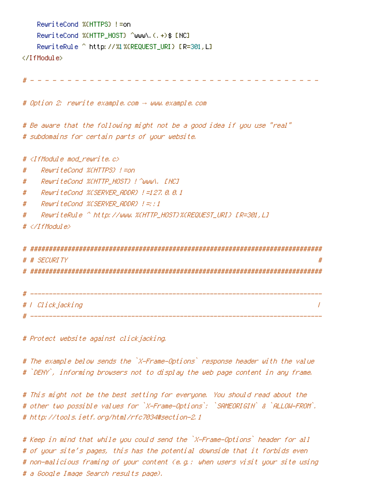```
RewriteCond %(HTTPS) != on
RewriteCond %(HTTP HOST) ^www\.(.+)$ [NC]
RewriteRule ^ http://%1%(REQUEST_URI} [R=301,L]
```
</TfModule>

# Option 2: rewrite example.com -> www.example.com

# Be aware that the following might not be a good idea if you use "real" # subdomains for certain parts of your website.

#  $\langle$ IfModule mod rewrite.c>

- RewriteCood %(HTTPS) !=on  $\boldsymbol{\#}$
- ReuriteCond %CHTTP HOST} ! ^www\, [NC] #
- ReuriteCond %CSERVER\_ADDR} |=127.8.8.1 #
- $#$ ReuriteCond %(SERVER ADDR)  $l =: 1$
- #

 $# \triangle$ /TfModule>

| # # SECURITY     |  |
|------------------|--|
|                  |  |
|                  |  |
|                  |  |
| #   Clickjacking |  |
|                  |  |

# Protect website against clickjacking.

# The example below sends the `X-Frame-Options` response header with the value # `DENY`, informing browsers not to display the web page content in any frame.

# This might not be the best setting for everyone. You should read about the # other two possible values for `X-Frame-Options`; `SAMEORIGIN` & `ALLOW-FROM`, # http://tools.ietf.org/html/rfc7034#section-2.1

# Keep in mind that while you could send the `X-Frame-Options` header for all # of your site's pages, this has the potential downside that it forbids even # non-malicious framing of your content (e.g.: when users visit your site using # a Google Image Search results page).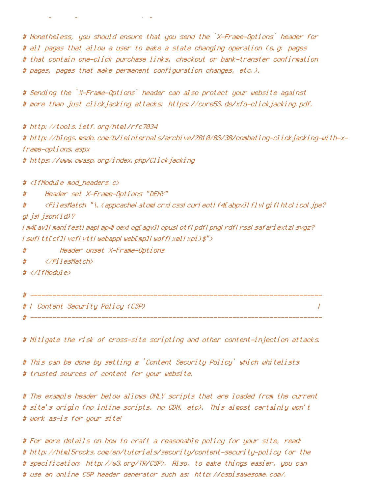# Nonetheless, you should ensure that you send the `X-Frame-Options` header for # all pages that allow a user to make a state changing operation (e.g. pages # that contain one-click purchase links, checkout or bank-transfer confirmation # pages, pages that make permanent configuration changes, etc.),

# Sending the `X-Frame-Options` header can also protect your website against # more than just clickjacking attacks: https://cure53.de/xfo-clickjacking.pdf.

# http://tools.ietf.org/html/rfc7034 # http://blogs.msdn.com/b/ieinternals/archive/2010/03/30/combating-clickjacking-with-xframe-options, aspx # https://www.owasp.org/index.php/Clickjacking

# <IfModule mod headers, c>

Header set X-Frame-Options "DENY" #

<FilesMatch "\, (appcacheLatomLcrxLcssLcurLeotLf4EabpvILf1vLgifLhtcLicoLjpe?  $#$ gl jsl json(1d)?

I m4EavJI manifestI mapI mp4LoexLogEagvJI opusLotfLpdfLpngLrdfLrssLsafariextzLsvgz? I swfItt[cf]IvcfIvttIwebappIweb[mp]IwoffIxmlIxpi)\$">

 $#$ Header unset X-Frame-Options

</FilesMatch>  $#$ 

 $# <$ /IfModule>

# F Content Security Policy (CSP)  $\prime$ 

# Mitigate the risk of cross-site scripting and other content-injection attacks.

# This can be done by setting a `Content Security Policy` which whitelists # trusted sources of content for your website.

# The example header below allows ONLY scripts that are loaded from the current # site's origin (no inline scripts, no CDN, etc). This almost certainly won't # work as-is for your site!

# For more details on how to craft a reasonable policy for your site, read: # http://html5rocks.com/en/tutorials/security/content-security-policy (or the # specification: http://w3.org/TR/CSP). Also, to make things easier, you can # use an online CSP header generator such as: http://cspisawesome.com/.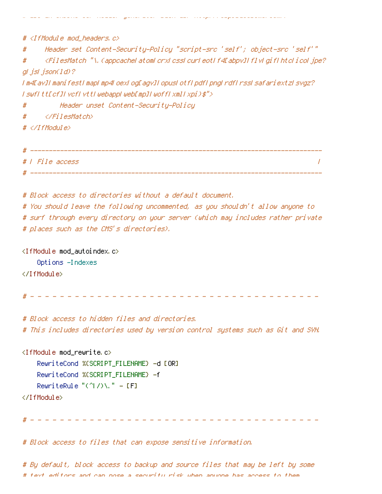# <IfModule mod\_headers, c> Header set Content-Security-Policy "script-src 'self'; object-src 'self'" # # <FilesMatch "\, (appcacheLatomLcrxLcssLcurLeotLf4Eabpv]FflvLgifLhtcLicoLjpe? gl jsl json(1d)? I m4EavJI manifestI mapI mp4LoexLogEagvJI opusLotfLpdfLpngLrdfLrssLsafariextzLsvgz? I swfItt[cf]IvcfIvttIwebappIweb[mp]IwoffIxmlIxpi)\$"> Header unset Content-Security-Policy # </FilesMatch> #  $# \langle \angle If$ Module $\rangle$ 

garan wasa wasan wan cinaapina wapawasanan wann

| # |                 |
|---|-----------------|
|   | #   File access |
| # |                 |

# Block access to directories without a default document.

# You should leave the following uncommented, as you shouldn't allow anyone to # surf through every directory on your server (which may includes rather private # places such as the CMS's directories).

<IfModule mod\_autoindex.c> Options -Indexes </IfModule>

and a state of the state of the state of the state of the state of the state of the state of the state of the state of the state of the state of the state of the state of the state of the state of the state of the state of

# Block access to hidden files and directories. # This includes directories used by version control systems such as Git and SVN.

```
<IfModule mod_rewrite.c>
    RewriteCond %(SCRIPT_FILENAME) -d [OR]
    RewriteCond %(SCRIPT_FILENAME) -f
    RewriteRule "(^\cap)\." = [F]
```
</IfModule>

----------------------------------

# Block access to files that can expose sensitive information.

# By default, block access to backup and source files that may be left by some # faxt aditors and can nose a security risk when anyone has access to them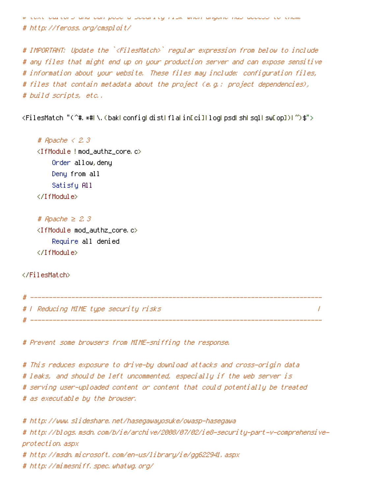itext eurture and can poec a security risk when angune has access to them

# http://feross.org/cmsploit/

# IMPORTANT: Update the `<FilesMatch>` regular expression from below to include # any files that might end up on your production server and can expose sensitive # information about your website. These files may include: configuration files, # files that contain metadata about the project (e.g.: project dependencies), # build scripts, etc.,

<FilesMatch "(^#, \*#| \, (bak| config| dist| fla| in[ci]| log| psd| sh| sql| sw[op])| ")\$">

# Apache  $\langle 2, 3 \rangle$ <IfModule !mod\_authz\_core.c> Order allow, deny Deny from all Satisfy All </TifModule>

# Apache  $\geq$  2.3 <IfModule mod\_authz\_core.c> Require all denied </TifModule>

</FilesMatch>

 $\#$  ---------# | Reducing MIME type security risks  $\overline{1}$ 

# Prevent some browsers from MIME-sniffing the response.

# This reduces exposure to drive-by download attacks and cross-origin data # leaks, and should be left uncommented, especially if the web server is # serving user-uploaded content or content that could potentially be treated # as executable by the browser,

# http://www.slideshare.net/hasegawayosuke/owasp-hasegawa # http://blogs.msdn.com/b/ie/archive/2008/07/02/ie8-security-part-v-comprehensiveprotection, aspx # http://msdn.microsoft.com/en-us/library/ie/gg622941.aspx # http://mimesniff.spec.whatwg.org/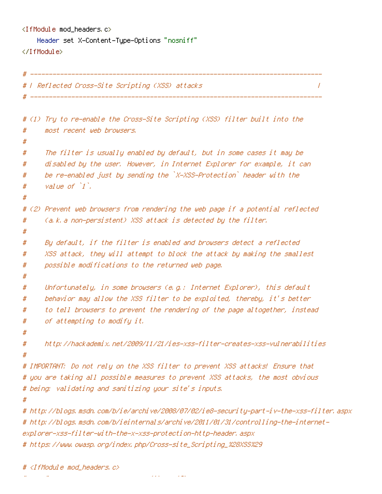```
\langleIfModule mod headers, c\rangleHeader set X-Content-Type-Options "nosniff"
</IfModule>
```

```
# ---------------
# T Reflected Cross-Site Scripting (XSS) attacks.
                                                                                \overline{I}_________________
# (1) Try to re-enable the Cross-Site Scripting (XSS) filter built into the
#most recent web browsers,
#
      The filter is usually enabled by default, but in some cases it may be
#
#disabled by the user. However, in Internet Explorer for example, it can
      be re-enabled just by sending the `X-XSS-Protection` header with the
#
      value of 1.
#
#
# (2) Prevent web browsers from rendering the web page if a potential reflected
      (a.k. a non-persistent) XSS attack is detected by the filter.
##
     Bu default, if the filter is enabled and browsers detect a reflected
#
     XSS attack, they will attempt to block the attack by making the smallest
#
     possible modifications to the returned web page.
#
#
#Unfortunately, in some browsers (e.g.: Internet Explorer), this default
     behavior may allow the XSS filter to be exploited, thereby, it's better
#to tell browsers to prevent the rendering of the page altogether, instead
#
     of attempting to modify it.
#
#
     http://hackademix.net/2009/11/21/ies-xss-filter-creates-xss-yulnerabilities
### IMPORTANT: Do not rely on the XSS filter to prevent XSS attacks! Ensure that
# you are taking all possible measures to prevent XSS attacks, the most obvious
# being: validating and sanitizing your site's inputs.
## http://blogs.msdn.com/b/ie/archive/2008/07/02/ie8-security-part-iv-the-xss-filter.aspx
# http://blogs.msdn.com/b/ieinternals/archive/2011/01/31/controlling-the-internet-
explorer-xss-filter-with-the-x-xss-protection-http-header, aspx
# https://www.owasp.org/index.php/Cross-site_Scripting_%28XSS%29
```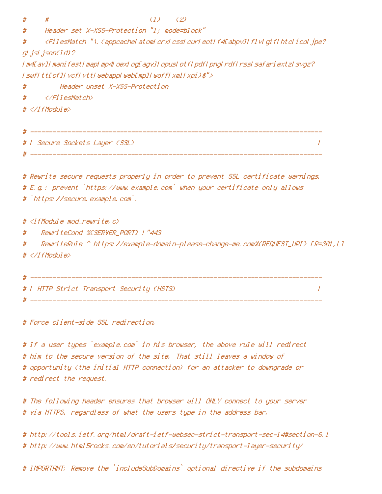#

 $#$ 

 $(1)$   $(2)$ 

# Header set X-XSS-Protection "1; mode=block"

<FilesMatch "\, (appeachelatomLerxLessLeurLeotLf4EabpvILf1vLgifLhtcLicoLjpe?) # gl jsl json(1d)? I m4EavII manifestI mapI mp4LoexLogEagvII opusLotfLpdfLpngLrdfLrssLsafariextzLsvgz? I swfItt[cf]IvcfIvttIwebappIweb[mp]IwoffIxmlIxpi)\$">

Header unset X-XSS-Protection #

</FilesMatch>  $#$ 

 $\#$  </IfModule>

# | Secure Sockets Layer (SSL) |  $\prime$ # ---------------------

# Rewrite secure requests properly in order to prevent SSL certificate warnings. # E.g.: prevent `https://www.example.com` when your certificate only allows # `https://secure.example.com`.

# <IfModule mod\_rewrite.c>

# 

RewriteRule ^ https://example-domain-please-change-me.com%CREQUEST\_URI} [R=301,L] #  $# \langle \angle If$ Module $\rangle$ 

# T HTTP Strict Transport Security (HSTS)  $\sqrt{ }$ 

# Force client-side SSL redirection.

# If a user types `example.com` in his browser, the above rule will redirect # him to the secure version of the site. That still leaves a window of # opportunity (the initial HTTP connection) for an attacker to downgrade or # redirect the request.

# The following header ensures that browser will ONLY connect to your server # via HTTPS, regardless of what the users type in the address bar.

# http://tools.ietf.org/html/draft-ietf-websec-strict-transport-sec-14#section-6.1 # http://www.html5rocks.com/en/tutorials/security/transport-layer-security/

# IMPORTANT: Remove the `includeSubDomains` optional directive if the subdomains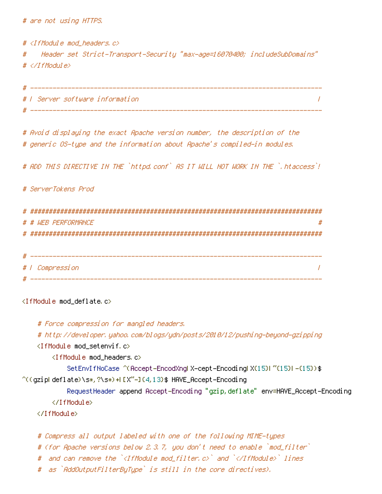# are not using HTTPS.

#  $\langle$ IfModule mod headers,  $c$ > Header set Strict-Transport-Security "max-age=16070400; includeSubDomains" #  $# \triangle$ /IfModule>

| # |                                 |  |
|---|---------------------------------|--|
|   | # 1 Server software information |  |
|   |                                 |  |

# Avoid displaying the exact Apache version number, the description of the # generic OS-type and the information about Apache's compiled-in modules.

# ADD THIS DIRECTIVE IN THE `httpd.conf` AS IT WILL NOT WORK IN THE `,htaccess`!

```
# ServerTokens Prod
```

| # |                        |
|---|------------------------|
|   | # # WEB PERFORMANCE    |
| # |                        |
|   |                        |
|   |                        |
|   | # <i>I Compression</i> |
|   |                        |

<IfModule mod deflate.c>

# Force compression for mangled headers. # http://developer.yahoo.com/blogs/ydn/posts/2010/12/pushing-beyond-gzipping <IfModule mod setenvif.c> <IfModule mod\_headers.c> SetEnvIfNoCase ^(Accept-EncodXngl X-cept-Encodingl X(15)1 ^(15)1-(15)) \$ ^((gziplideflate)\s\*,?\s\*)+F[X"-]{4,13}\$HAVE\_Accept-Encoding Request Header append Accept-Encoding "gzip, deflate" env=HAVE\_Accept-Encoding </TfModule> </TfModule>

```
# Compress all output labeled with one of the following MIME-types
# (for Apache versions below 2,3,7, you don't need to enable `mod_filter`
# and can remove the `<IfModule mod_filter.c>` and `</IfModule>` lines
# as `AddOutputFilterByType` is still in the core directives).
```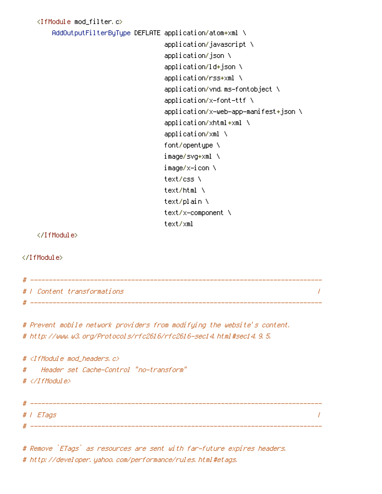<IfModule mod filter.c> AddOutputFilterByType DEFLATE application/atom+xml \ application/javascript \ application/json \ application/ld+json \ application/rss+xml \ application/vnd.ms-fontobject \  $application/x-font-ttf \ N$ application/x-web-app-manifest+json \ application/xhtml+xml \ application/xml \ font/opentupe \ image/svq+xml \ imaqe/x−icon \ text/css \ text/html \ text/plain \ text/x-component \ text/xml </IfModule> </IfModule> 

# 1 Content transformations  $\prime$ 

# Prevent mobile network providers from modifying the website's content. # http://www.w3.org/Protocols/rfc2616/rfc2616-sec14.html#sec14.9.5.

 $#$  <IfModule mod headers,  $c$ > Header set Cache-Control "no-transform" #  $# \langle \angle I$ fModule $\rangle$ # | ETags  $\overline{I}$ 

# Remove `ETags` as resources are sent with far-future expires headers. # http://developer.yahoo.com/performance/rules.html#etags.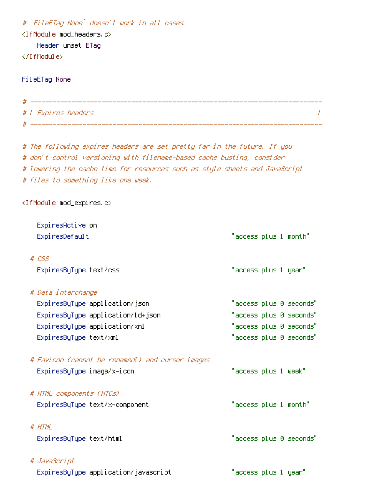# `FileETag None` doesn't work in all cases. <IfModule mod\_headers.c> Header unset ETag </IfModule> FileETag None # ----------# | Expires headers # The following expires headers are set pretty far in the future. If you # don't control versioning with filename-based cache busting, consider # lowering the cache time for resources such as style sheets and JavaScript # files to something like one week. <IfModule mod\_expires.c> ExpiresActive on ExpiresDefault  $#$   $CSS$ ExpiresByType text/css # Data interchange

ExpiresByType application/json "access plus 0 seconds" "access plus 0 seconds" ExpiresByType application/ld+json "access plus 0 seconds" ExpiresByType application/xml ExpiresByType text/xml "access plus 0 seconds"

 $\prime$ 

"access plus 1 month"

"access plus 1 year"

# Favicon (cannot be renamed!) and cursor images  $"$ access plus 1 week $"$ ExpiresByType image/x-icon # HTML components (HTCs) ExpiresByType text/x-component "access plus 1 month" # HTML "access plus 0 seconds" ExpiresByType text/html # JavaScript ExpiresByType application/javascript "access plus 1 year"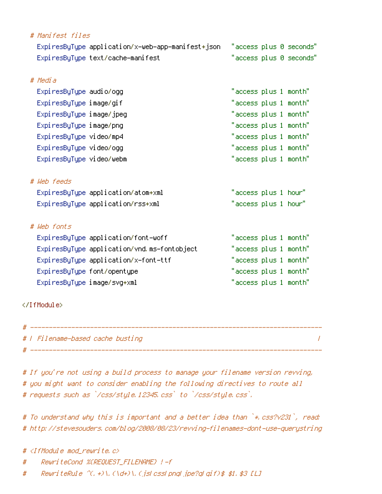| # Manifest files                                  |                        |
|---------------------------------------------------|------------------------|
| ExpiresByType application/x-web-app-manifest+json | "access plus 0 seconds |
| ExpiresByType text/cache-manifest                 | "access plus 0 seconds |
| # Media                                           |                        |
| ExpiresByType audio/ogg                           | "access plus 1 month"  |
| ExpiresByType image/gif                           | "access plus 1 month"  |
| ExpiresByType image/jpeg                          | "access plus 1 month"  |
| ExpiresByType image/png                           | "access plus 1 month"  |
| ExpiresByType video/mp4                           | "access plus 1 month"  |
| ExpiresByType video/ogg                           | "access plus 1 month"  |
| ExpiresByType video/webm                          | "access plus 1 month"  |
| # Web feeds                                       |                        |
| ExpiresByType application/atom+xml                | "access plus 1 hour"   |
| ExpiresByType application/rss+xml                 | "access plus 1 hour"   |
| # Web fonts                                       |                        |
| ExpiresByType application/font-woff               | "access plus 1 month"  |
| ExpiresByType application/vnd.ms-fontobject       | "access plus 1 month"  |
| ExpiresByType application/x-font-ttf              | "access plus 1 month"  |
| ExpiresByType font/opentype                       | "access plus 1 month"  |
| ExpiresByType image/svg+xml                       | "access plus 1 month"  |
|                                                   |                        |
|                                                   |                        |

| #   Filename-based cache busting |  |
|----------------------------------|--|
|                                  |  |

# If you're not using a build process to manage your filename version revving, # you might want to consider enabling the following directives to route all # requests such as `/css/style.12345.css` to `/css/style.css`.

# To understand why this is important and a better idea than `\* css?v231`, read: # http://stevesouders.com/blog/2008/08/23/revving-filenames-dont-use-querystring

# <IfModule mod rewrite.c>

 $\mathbf{r}$ 

- ReuriteCond %(REQUEST\_FILENAME) !- f #
- ReuriteRule  $\Upsilon$ , +)\, (\d+)\, (jslcsslpngljpe?glgif)\$ \$1, \$3 [L]  $#$